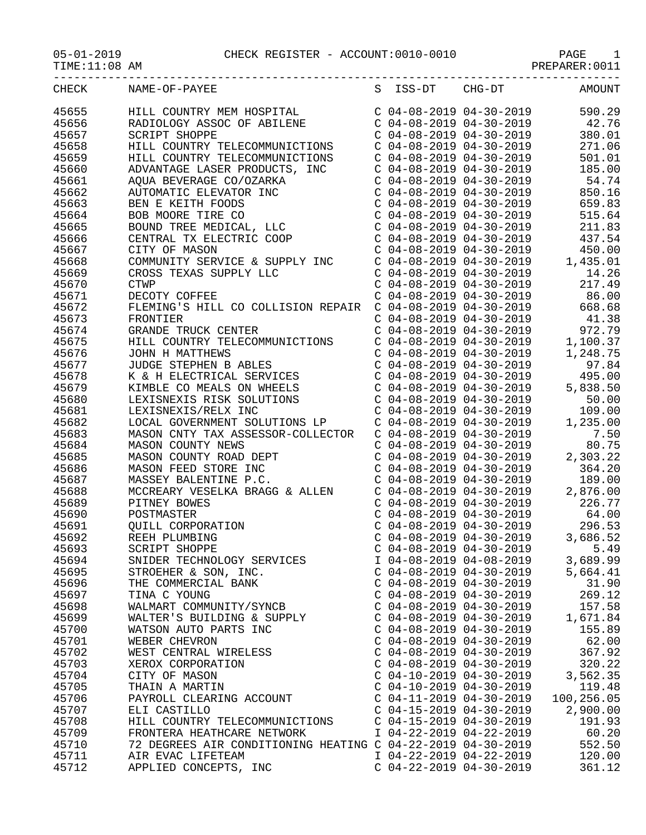| TIME: 11:08 AM |                                                                                                                                                                                                       |                           | PREPARER: 0011 |
|----------------|-------------------------------------------------------------------------------------------------------------------------------------------------------------------------------------------------------|---------------------------|----------------|
| CHECK          | NAME-OF-PAYEE                                                                                                                                                                                         | S ISS-DT CHG-DT           | <b>AMOUNT</b>  |
| 45655          | HILL COUNTRY MEM HOSPITAL                                                                                                                                                                             | $C$ 04-08-2019 04-30-2019 | 590.29         |
| 45656          | RADIOLOGY ASSOC OF ABILENE                                                                                                                                                                            | $C$ 04-08-2019 04-30-2019 | 42.76          |
| 45657          | <b>SCRIPT SHOPPE</b>                                                                                                                                                                                  | $C$ 04-08-2019 04-30-2019 | 380.01         |
| 45658          | HILL COUNTRY TELECOMMUNICTIONS                                                                                                                                                                        | $C$ 04-08-2019 04-30-2019 | 271.06         |
| 45659          | HILL COUNTRY TELECOMMUNICTIONS                                                                                                                                                                        | $C$ 04-08-2019 04-30-2019 | 501.01         |
| 45660          | ADVANTAGE LASER PRODUCTS, INC                                                                                                                                                                         | $C$ 04-08-2019 04-30-2019 | 185.00         |
| 45661          | ADVANIAGE LADER IROCION, INC.<br>AQUA BEVERAGE CO/OZARKA<br>AUTOMATIC ELEVATOR INC<br>BEN E KEITH FOODS<br>BOB MOORE TIRE CO<br>BOUND TREE MEDICAL, LLC<br>CENTRAL TX ELECTRIC COOP<br>CITTY OF MASON | $C$ 04-08-2019 04-30-2019 | 54.74          |
| 45662          |                                                                                                                                                                                                       | $C$ 04-08-2019 04-30-2019 | 850.16         |
| 45663          |                                                                                                                                                                                                       | $C$ 04-08-2019 04-30-2019 | 659.83         |
|                |                                                                                                                                                                                                       |                           |                |
| 45664          |                                                                                                                                                                                                       | $C$ 04-08-2019 04-30-2019 | 515.64         |
| 45665          |                                                                                                                                                                                                       | $C$ 04-08-2019 04-30-2019 | 211.83         |
| 45666          |                                                                                                                                                                                                       | $C$ 04-08-2019 04-30-2019 | 437.54         |
| 45667          | CITY OF MASON                                                                                                                                                                                         | $C$ 04-08-2019 04-30-2019 | 450.00         |
| 45668          | COMMUNITY SERVICE & SUPPLY INC                                                                                                                                                                        | $C$ 04-08-2019 04-30-2019 | 1,435.01       |
| 45669          | CROSS TEXAS SUPPLY LLC                                                                                                                                                                                | $C$ 04-08-2019 04-30-2019 | 14.26          |
| 45670          | <b>CTWP</b>                                                                                                                                                                                           | $C$ 04-08-2019 04-30-2019 | 217.49         |
| 45671          | DECOTY COFFEE                                                                                                                                                                                         | $C$ 04-08-2019 04-30-2019 | 86.00          |
| 45672          | FLEMING'S HILL CO COLLISION REPAIR C 04-08-2019 04-30-2019                                                                                                                                            |                           | 668.68         |
| 45673          | FRONTIER                                                                                                                                                                                              | $C$ 04-08-2019 04-30-2019 | 41.38          |
| 45674          | GRANDE TRUCK CENTER                                                                                                                                                                                   | $C$ 04-08-2019 04-30-2019 | 972.79         |
| 45675          | HILL COUNTRY TELECOMMUNICTIONS                                                                                                                                                                        | $C$ 04-08-2019 04-30-2019 | 1,100.37       |
| 45676          | JOHN H MATTHEWS                                                                                                                                                                                       | $C$ 04-08-2019 04-30-2019 | 1,248.75       |
| 45677          | JOHN H MATTHEWS<br>JUDGE STEPHEN B ABLES<br>K & H ELECTRICAL SERVICES                                                                                                                                 | $C$ 04-08-2019 04-30-2019 | 97.84          |
| 45678          |                                                                                                                                                                                                       | $C$ 04-08-2019 04-30-2019 | 495.00         |
| 45679          | KIMBLE CO MEALS ON WHEELS                                                                                                                                                                             | $C$ 04-08-2019 04-30-2019 | 5,838.50       |
| 45680          | LEXISNEXIS RISK SOLUTIONS                                                                                                                                                                             | $C$ 04-08-2019 04-30-2019 | 50.00          |
| 45681          | LEXISNEXIS/RELX INC                                                                                                                                                                                   | $C$ 04-08-2019 04-30-2019 | 109.00         |
| 45682          | LOCAL GOVERNMENT SOLUTIONS LP                                                                                                                                                                         | $C$ 04-08-2019 04-30-2019 | 1,235.00       |
| 45683          | MASON CNTY TAX ASSESSOR-COLLECTOR                                                                                                                                                                     | $C$ 04-08-2019 04-30-2019 | 7.50           |
| 45684          | MASON COUNTY NEWS                                                                                                                                                                                     | $C$ 04-08-2019 04-30-2019 | 80.75          |
| 45685          |                                                                                                                                                                                                       | $C$ 04-08-2019 04-30-2019 | 2,303.22       |
| 45686          | MASON COUNTY ROAD DEPT<br>MASON FEED STORE INC                                                                                                                                                        | $C$ 04-08-2019 04-30-2019 | 364.20         |
| 45687          | MASSEY BALENTINE P.C.                                                                                                                                                                                 | $C$ 04-08-2019 04-30-2019 | 189.00         |
|                |                                                                                                                                                                                                       |                           |                |
| 45688          | MCCREARY VESELKA BRAGG & ALLEN                                                                                                                                                                        | $C$ 04-08-2019 04-30-2019 | 2,876.00       |
| 45689          | PITNEY BOWES                                                                                                                                                                                          | $C$ 04-08-2019 04-30-2019 | 226.77         |
| 45690          | POSTMASTER                                                                                                                                                                                            | $C$ 04-08-2019 04-30-2019 | 64.00          |
| 45691          | <b>QUILL CORPORATION</b>                                                                                                                                                                              | $C$ 04-08-2019 04-30-2019 | 296.53         |
| 45692          | REEH PLUMBING                                                                                                                                                                                         | $C$ 04-08-2019 04-30-2019 | 3,686.52       |
| 45693          | SCRIPT SHOPPE                                                                                                                                                                                         | $C$ 04-08-2019 04-30-2019 | 5.49           |
| 45694          | SNIDER TECHNOLOGY SERVICES                                                                                                                                                                            | I 04-08-2019 04-08-2019   | 3,689.99       |
| 45695          | STROEHER & SON, INC.                                                                                                                                                                                  | $C$ 04-08-2019 04-30-2019 | 5,664.41       |
| 45696          | THE COMMERCIAL BANK                                                                                                                                                                                   | $C$ 04-08-2019 04-30-2019 | 31.90          |
| 45697          | TINA C YOUNG                                                                                                                                                                                          | $C$ 04-08-2019 04-30-2019 | 269.12         |
| 45698          | WALMART COMMUNITY/SYNCB                                                                                                                                                                               | $C$ 04-08-2019 04-30-2019 | 157.58         |
| 45699          | WALTER'S BUILDING & SUPPLY                                                                                                                                                                            | $C$ 04-08-2019 04-30-2019 | 1,671.84       |
| 45700          | WATSON AUTO PARTS INC                                                                                                                                                                                 | $C$ 04-08-2019 04-30-2019 | 155.89         |
| 45701          | WEBER CHEVRON                                                                                                                                                                                         | $C$ 04-08-2019 04-30-2019 | 62.00          |
| 45702          | WEST CENTRAL WIRELESS                                                                                                                                                                                 | $C$ 04-08-2019 04-30-2019 | 367.92         |
| 45703          | XEROX CORPORATION                                                                                                                                                                                     | $C$ 04-08-2019 04-30-2019 | 320.22         |
| 45704          | CITY OF MASON                                                                                                                                                                                         | $C$ 04-10-2019 04-30-2019 | 3,562.35       |
| 45705          | THAIN A MARTIN                                                                                                                                                                                        | $C$ 04-10-2019 04-30-2019 | 119.48         |
| 45706          | PAYROLL CLEARING ACCOUNT                                                                                                                                                                              | $C$ 04-11-2019 04-30-2019 | 100,256.05     |
| 45707          | ELI CASTILLO                                                                                                                                                                                          | $C$ 04-15-2019 04-30-2019 | 2,900.00       |
| 45708          | HILL COUNTRY TELECOMMUNICTIONS                                                                                                                                                                        | $C$ 04-15-2019 04-30-2019 | 191.93         |
| 45709          | FRONTERA HEATHCARE NETWORK                                                                                                                                                                            | I 04-22-2019 04-22-2019   | 60.20          |
| 45710          | 72 DEGREES AIR CONDITIONING HEATING C 04-22-2019 04-30-2019                                                                                                                                           |                           | 552.50         |
| 45711          | AIR EVAC LIFETEAM                                                                                                                                                                                     | I 04-22-2019 04-22-2019   | 120.00         |
|                |                                                                                                                                                                                                       |                           |                |

45712 APPLIED CONCEPTS, INC C 04-22-2019 04-30-2019 361.12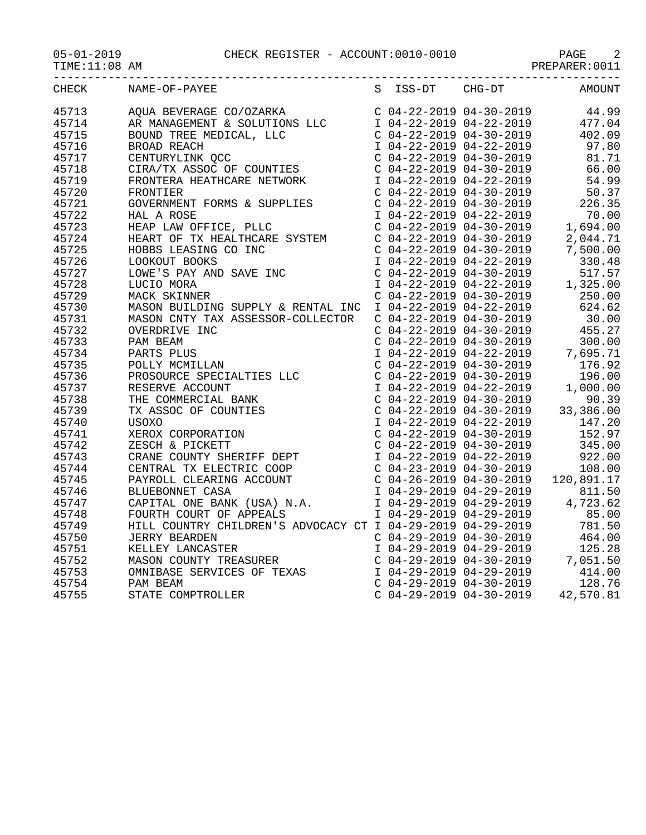05-01-2019 CHECK REGISTER - ACCOUNT:0010-0010 PAGE 2

TIME:11:08 AM PREPARER:0011

|       | ---------------------------- | _________________________ | ------------ |
|-------|------------------------------|---------------------------|--------------|
| CHECK | NAME-OF-PAYEE                | S ISS-DT CHG-DT           | AMOUNT       |
| 45713 |                              |                           |              |
| 45714 |                              |                           |              |
| 45715 |                              |                           |              |
| 45716 |                              |                           |              |
| 45717 |                              |                           |              |
| 45718 |                              |                           |              |
| 45719 |                              |                           |              |
| 45720 |                              |                           |              |
| 45721 |                              |                           |              |
| 45722 |                              |                           |              |
| 45723 |                              |                           |              |
| 45724 |                              |                           |              |
| 45725 |                              |                           |              |
| 45726 |                              |                           |              |
| 45727 |                              |                           |              |
| 45728 |                              |                           |              |
| 45729 |                              |                           |              |
| 45730 |                              |                           |              |
| 45731 |                              |                           |              |
| 45732 |                              |                           |              |
| 45733 |                              |                           |              |
| 45734 |                              |                           |              |
| 45735 |                              |                           |              |
| 45736 |                              |                           |              |
| 45737 |                              |                           |              |
| 45738 |                              |                           |              |
| 45739 |                              |                           |              |
| 45740 |                              |                           |              |
| 45741 |                              |                           |              |
| 45742 |                              |                           |              |
| 45743 |                              |                           |              |
| 45744 |                              |                           |              |
| 45745 |                              |                           |              |
| 45746 |                              |                           |              |
| 45747 |                              |                           |              |
| 45748 |                              |                           |              |
| 45749 |                              |                           |              |
| 45750 |                              |                           |              |
| 45751 |                              |                           |              |
| 45752 |                              |                           |              |
| 45753 |                              |                           |              |
| 45754 |                              |                           |              |
| 45755 |                              |                           |              |
|       |                              |                           |              |